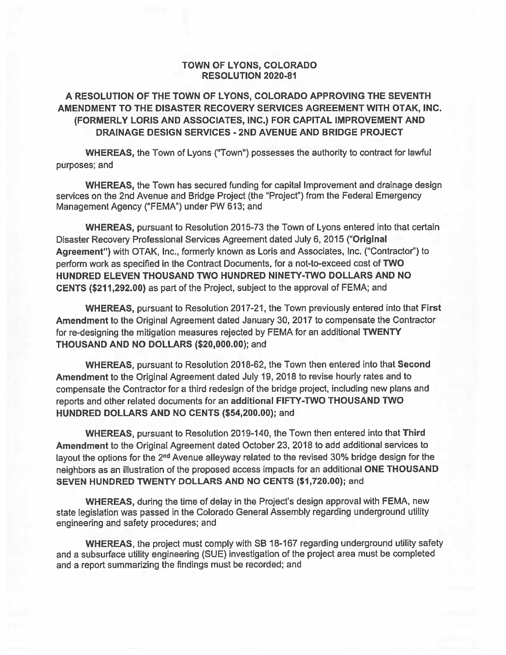### **TOWN OF LYONS, COLORADO RESOLUTION 2020-81**

### A RESOLUTION OF THE TOWN OF LYONS, COLORADO APPROVING THE SEVENTH AMENDMENT TO THE DISASTER RECOVERY SERVICES AGREEMENT WITH OTAK, INC. (FORMERLY LORIS AND ASSOCIATES, INC.) FOR CAPITAL IMPROVEMENT AND DRAINAGE DESIGN SERVICES - 2ND AVENUE AND BRIDGE PROJECT

WHEREAS, the Town of Lyons ("Town") possesses the authority to contract for lawful purposes; and

**WHEREAS, the Town has secured funding for capital Improvement and drainage design** services on the 2nd Avenue and Bridge Project (the "Project") from the Federal Emergency Management Agency ("FEMA") under PW 613; and

WHEREAS, pursuant to Resolution 2015-73 the Town of Lyons entered into that certain Disaster Recovery Professional Services Agreement dated July 6, 2015 ("Original Agreement") with OTAK, Inc., formerly known as Loris and Associates, Inc. ("Contractor") to perform work as specified in the Contract Documents, for a not-to-exceed cost of TWO HUNDRED ELEVEN THOUSAND TWO HUNDRED NINETY-TWO DOLLARS AND NO CENTS (\$211,292.00) as part of the Project, subject to the approval of FEMA; and

WHEREAS, pursuant to Resolution 2017-21, the Town previously entered into that First Amendment to the Original Agreement dated January 30, 2017 to compensate the Contractor for re-designing the mitigation measures rejected by FEMA for an additional TWENTY THOUSAND AND NO DOLLARS (\$20,000.00); and

WHEREAS, pursuant to Resolution 2018-62, the Town then entered into that Second Amendment to the Original Agreement dated July 19, 2018 to revise hourly rates and to compensate the Contractor for a third redesign of the bridge project, including new plans and reports and other related documents for an additional FIFTY-TWO THOUSAND TWO HUNDRED DOLLARS AND NO CENTS (\$54,200.00); and

WHEREAS, pursuant to Resolution 2019-140, the Town then entered into that Third Amendment to the Original Agreement dated October 23, 2018 to add additional services to layout the options for the 2<sup>nd</sup> Avenue alleyway related to the revised 30% bridge design for the neighbors as an illustration of the proposed access impacts for an additional ONE THOUSAND SEVEN HUNDRED TWENTY DOLLARS AND NO CENTS (\$1,720.00); and

WHEREAS, during the time of delay in the Project's design approval with FEMA, new state legislation was passed in the Colorado General Assembly regarding underground utility engineering and safety procedures; and

WHEREAS, the project must comply with SB 18-167 regarding underground utility safety and a subsurface utility engineering (SUE) investigation of the project area must be completed and a report summarizing the findings must be recorded; and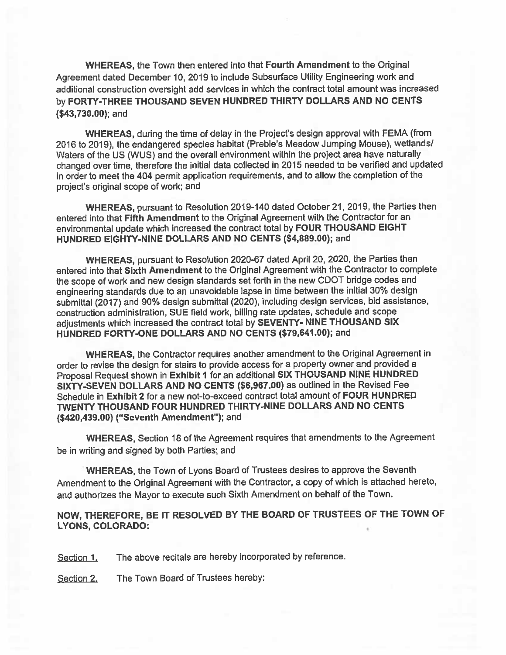WHEREAS, the Town then entered into that Fourth Amendment to the Original Agreement dated December 10, 2019 to include Subsurface Utility Engineering work and additional construction oversight add services in which the contract total amount was increased by FORTY-THREE THOUSAND SEVEN HUNDRED THIRTY DOLLARS AND NO CENTS  $($43,730.00);$  and

WHEREAS, during the time of delay in the Project's design approval with FEMA (from 2016 to 2019), the endangered species habitat (Preble's Meadow Jumping Mouse), wetlands/ Waters of the US (WUS) and the overall environment within the project area have naturally changed over time, therefore the initial data collected in 2015 needed to be verified and updated in order to meet the 404 permit application requirements, and to allow the completion of the project's original scope of work; and

WHEREAS, pursuant to Resolution 2019-140 dated October 21, 2019, the Parties then entered into that Fifth Amendment to the Original Agreement with the Contractor for an environmental update which increased the contract total by FOUR THOUSAND EIGHT HUNDRED EIGHTY-NINE DOLLARS AND NO CENTS (\$4,889.00); and

WHEREAS, pursuant to Resolution 2020-67 dated April 20, 2020, the Parties then entered into that Sixth Amendment to the Original Agreement with the Contractor to complete the scope of work and new design standards set forth in the new CDOT bridge codes and engineering standards due to an unavoidable lapse in time between the initial 30% design submittal (2017) and 90% design submittal (2020), including design services, bid assistance, construction administration, SUE field work, billing rate updates, schedule and scope adjustments which increased the contract total by SEVENTY- NINE THOUSAND SIX HUNDRED FORTY-ONE DOLLARS AND NO CENTS (\$79,641.00); and

WHEREAS, the Contractor requires another amendment to the Original Agreement in order to revise the design for stairs to provide access for a property owner and provided a Proposal Request shown in Exhibit 1 for an additional SIX THOUSAND NINE HUNDRED SIXTY-SEVEN DOLLARS AND NO CENTS (\$6,967.00) as outlined in the Revised Fee Schedule in Exhibit 2 for a new not-to-exceed contract total amount of FOUR HUNDRED TWENTY THOUSAND FOUR HUNDRED THIRTY-NINE DOLLARS AND NO CENTS (\$420,439.00) ("Seventh Amendment"); and

**WHEREAS, Section 18 of the Agreement requires that amendments to the Agreement** be in writing and signed by both Parties; and

WHEREAS, the Town of Lyons Board of Trustees desires to approve the Seventh Amendment to the Original Agreement with the Contractor, a copy of which is attached hereto, and authorizes the Mayor to execute such Sixth Amendment on behalf of the Town.

### NOW, THEREFORE, BE IT RESOLVED BY THE BOARD OF TRUSTEES OF THE TOWN OF **LYONS, COLORADO:**

The above recitals are hereby incorporated by reference. Section 1.

The Town Board of Trustees hereby: Section 2.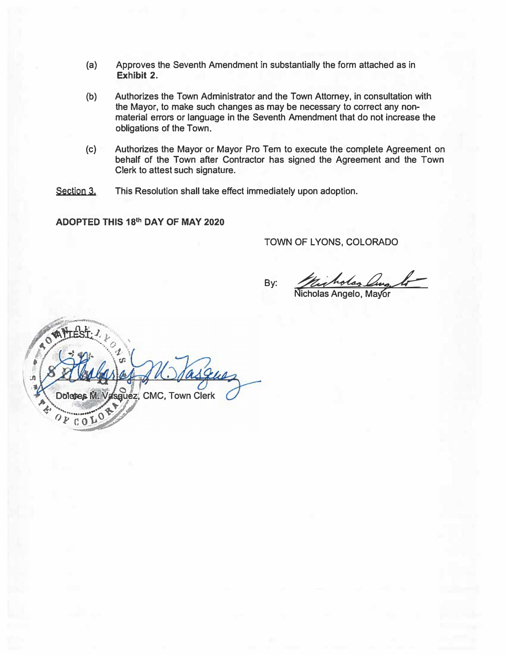- **(a) Approves the Seventh Amendment in substantially the form attached as in Exhibit 2.**
- (b) **Authorizes the Town Administrator and the Town Attorney, in consultation with the Mayor, to make such changes as may be necessary to correct any nonmaterial errors or language in the Seventh Amendment that do not increase the obligations of the Town.**
- **(c) Authorizes the Mayor or Mayor Pro Tern to execute the complete Agreement on behalf of the Town after Contractor has signed the Agreement and the Town Clerk to attest such signature.**
- Section 3. **This Resolution shall take effect immediately upon adoption.**

**ADOPTED THIS 18th DAY OF MAY 2020**

TOWN OF LYONS, COLORADO

By: *Macholas Lung*<br>Nicholas Angelo, Mavor

Jane :ß sguez, CMC, Town Clerk Dolctres M.  $C<sub>0</sub>$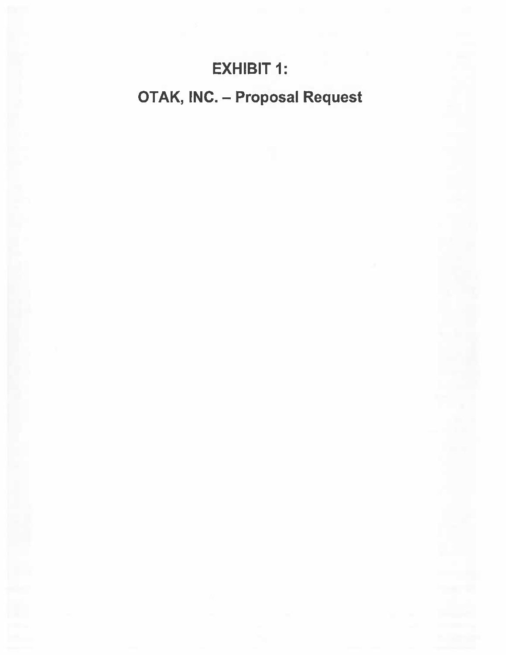## **EXHIBIT 1:**

# **OTAK, INC. - Proposal Request**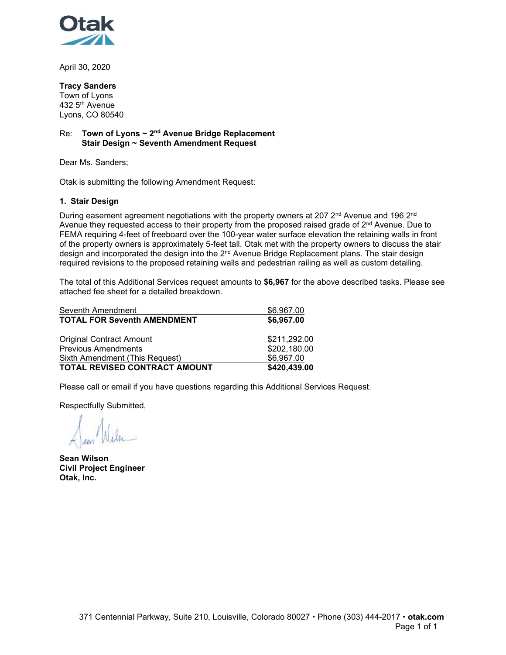

April 30, 2020

### **Tracy Sanders**

Town of Lyons 432 5th Avenue Lyons, CO 80540

### Re: **Town of Lyons ~ 2nd Avenue Bridge Replacement Stair Design ~ Seventh Amendment Request**

Dear Ms. Sanders;

Otak is submitting the following Amendment Request:

### **1. Stair Design**

During easement agreement negotiations with the property owners at 207 2<sup>nd</sup> Avenue and 196 2<sup>nd</sup> Avenue they requested access to their property from the proposed raised grade of 2<sup>nd</sup> Avenue. Due to FEMA requiring 4-feet of freeboard over the 100-year water surface elevation the retaining walls in front of the property owners is approximately 5-feet tall. Otak met with the property owners to discuss the stair design and incorporated the design into the 2<sup>nd</sup> Avenue Bridge Replacement plans. The stair design required revisions to the proposed retaining walls and pedestrian railing as well as custom detailing.

The total of this Additional Services request amounts to **\$6,967** for the above described tasks. Please see attached fee sheet for a detailed breakdown.

| Seventh Amendment                  | \$6,967.00   |
|------------------------------------|--------------|
| <b>TOTAL FOR Seventh AMENDMENT</b> | \$6,967.00   |
| <b>Original Contract Amount</b>    | \$211,292.00 |
| <b>Previous Amendments</b>         | \$202,180.00 |
| Sixth Amendment (This Request)     | \$6,967.00   |
| TOTAL REVISED CONTRACT AMOUNT      | \$420,439.00 |

Please call or email if you have questions regarding this Additional Services Request.

Respectfully Submitted,

**Sean Wilson Civil Project Engineer Otak, Inc.**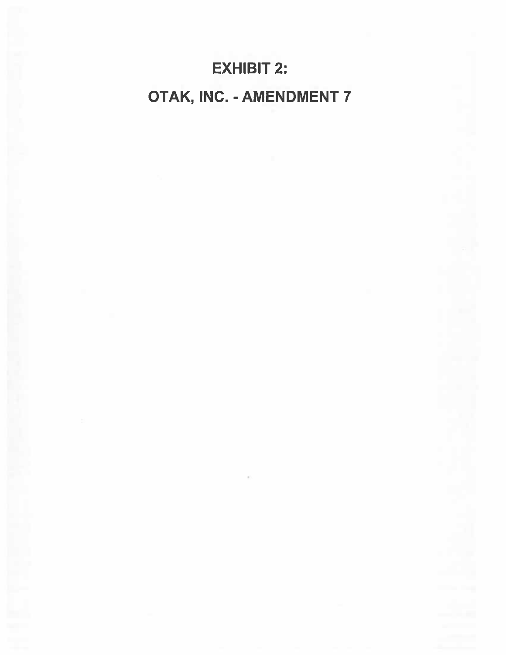# **EXHIBIT 2:** OTAK, INC. - AMENDMENT 7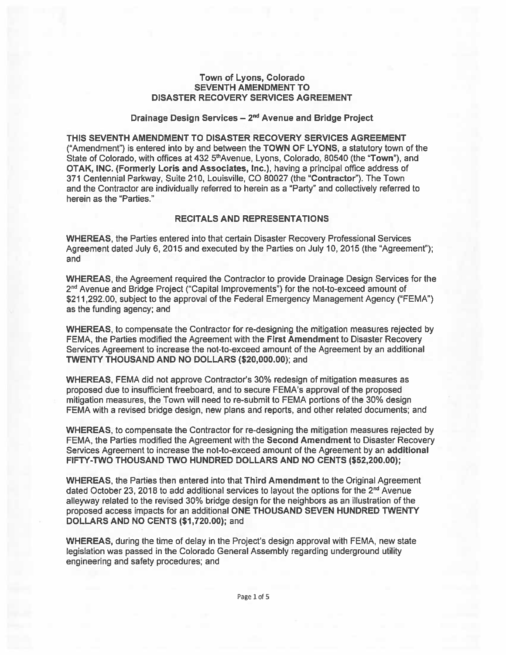### Town of Lyons, Colorado **SEVENTH AMENDMENT TO DISASTER RECOVERY SERVICES AGREEMENT**

### Drainage Design Services - 2<sup>nd</sup> Avenue and Bridge Project

THIS SEVENTH AMENDMENT TO DISASTER RECOVERY SERVICES AGREEMENT ("Amendment") is entered into by and between the TOWN OF LYONS, a statutory town of the State of Colorado, with offices at 432 5<sup>th</sup> Avenue, Lyons, Colorado, 80540 (the "Town"), and OTAK, INC. (Formerly Loris and Associates, Inc.), having a principal office address of 371 Centennial Parkway, Suite 210, Louisville, CO 80027 (the "Contractor"). The Town and the Contractor are individually referred to herein as a "Party" and collectively referred to herein as the "Parties."

### **RECITALS AND REPRESENTATIONS**

**WHEREAS, the Parties entered into that certain Disaster Recovery Professional Services** Agreement dated July 6, 2015 and executed by the Parties on July 10, 2015 (the "Agreement"); and

WHEREAS, the Agreement required the Contractor to provide Drainage Design Services for the 2<sup>nd</sup> Avenue and Bridge Project ("Capital Improvements") for the not-to-exceed amount of \$211,292.00, subject to the approval of the Federal Emergency Management Agency ("FEMA") as the funding agency; and

WHEREAS, to compensate the Contractor for re-designing the mitigation measures rejected by FEMA, the Parties modified the Agreement with the First Amendment to Disaster Recovery Services Agreement to increase the not-to-exceed amount of the Agreement by an additional TWENTY THOUSAND AND NO DOLLARS (\$20,000.00); and

WHEREAS, FEMA did not approve Contractor's 30% redesign of mitigation measures as proposed due to insufficient freeboard, and to secure FEMA's approval of the proposed mitigation measures, the Town will need to re-submit to FEMA portions of the 30% design FEMA with a revised bridge design, new plans and reports, and other related documents; and

**WHEREAS**, to compensate the Contractor for re-designing the mitigation measures rejected by FEMA, the Parties modified the Agreement with the Second Amendment to Disaster Recovery Services Agreement to increase the not-to-exceed amount of the Agreement by an additional FIFTY-TWO THOUSAND TWO HUNDRED DOLLARS AND NO CENTS (\$52,200.00);

**WHEREAS, the Parties then entered into that Third Amendment to the Original Agreement** dated October 23, 2018 to add additional services to layout the options for the 2<sup>nd</sup> Avenue alleyway related to the revised 30% bridge design for the neighbors as an illustration of the proposed access impacts for an additional ONE THOUSAND SEVEN HUNDRED TWENTY DOLLARS AND NO CENTS (\$1,720.00); and

WHEREAS, during the time of delay in the Project's design approval with FEMA, new state legislation was passed in the Colorado General Assembly regarding underground utility engineering and safety procedures; and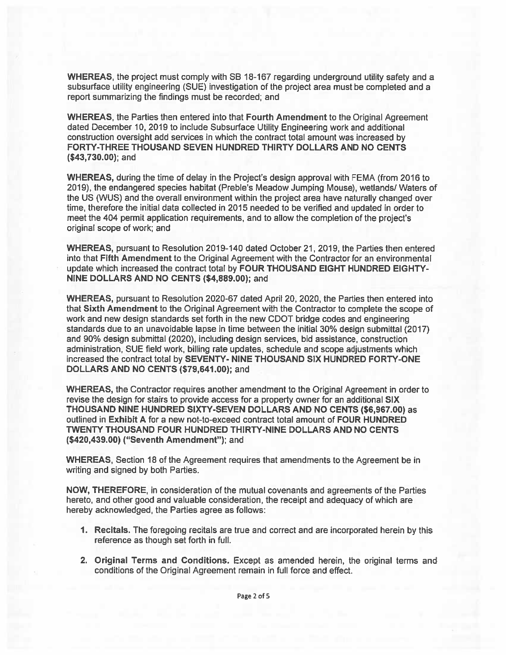WHEREAS, the project must comply with SB 18-167 regarding underground utility safety and a subsurface utility engineering (SUE) investigation of the project area must be completed and a report summarizing the findings must be recorded; and

WHEREAS, the Parties then entered into that Fourth Amendment to the Original Agreement dated December 10, 2019 to include Subsurface Utility Engineering work and additional construction oversight add services in which the contract total amount was increased by FORTY-THREE THOUSAND SEVEN HUNDRED THIRTY DOLLARS AND NO CENTS  $($43,730.00)$ ; and

WHEREAS, during the time of delay in the Project's design approval with FEMA (from 2016 to 2019), the endangered species habitat (Preble's Meadow Jumping Mouse), wetlands/ Waters of the US (WUS) and the overall environment within the project area have naturally changed over time, therefore the initial data collected in 2015 needed to be verified and updated in order to meet the 404 permit application requirements, and to allow the completion of the project's original scope of work; and

WHEREAS, pursuant to Resolution 2019-140 dated October 21, 2019, the Parties then entered into that Fifth Amendment to the Original Agreement with the Contractor for an environmental update which increased the contract total by FOUR THOUSAND EIGHT HUNDRED EIGHTY-NINE DOLLARS AND NO CENTS (\$4,889.00); and

WHEREAS, pursuant to Resolution 2020-67 dated April 20, 2020, the Parties then entered into that Sixth Amendment to the Original Agreement with the Contractor to complete the scope of work and new design standards set forth in the new CDOT bridge codes and engineering standards due to an unavoidable lapse in time between the initial 30% design submittal (2017) and 90% design submittal (2020), including design services, bid assistance, construction administration. SUE field work, billing rate updates, schedule and scope adjustments which increased the contract total by SEVENTY- NINE THOUSAND SIX HUNDRED FORTY-ONE DOLLARS AND NO CENTS (\$79,641.00); and

WHEREAS, the Contractor requires another amendment to the Original Agreement in order to revise the design for stairs to provide access for a property owner for an additional SIX THOUSAND NINE HUNDRED SIXTY-SEVEN DOLLARS AND NO CENTS (\$6,967.00) as outlined in Exhibit A for a new not-to-exceed contract total amount of FOUR HUNDRED TWENTY THOUSAND FOUR HUNDRED THIRTY-NINE DOLLARS AND NO CENTS (\$420,439.00) ("Seventh Amendment"); and

WHEREAS, Section 18 of the Agreement requires that amendments to the Agreement be in writing and signed by both Parties.

NOW, THEREFORE, in consideration of the mutual covenants and agreements of the Parties hereto, and other good and valuable consideration, the receipt and adequacy of which are hereby acknowledged, the Parties agree as follows:

- 1. Recitals. The foregoing recitals are true and correct and are incorporated herein by this reference as though set forth in full.
- 2. Original Terms and Conditions. Except as amended herein, the original terms and conditions of the Original Agreement remain in full force and effect.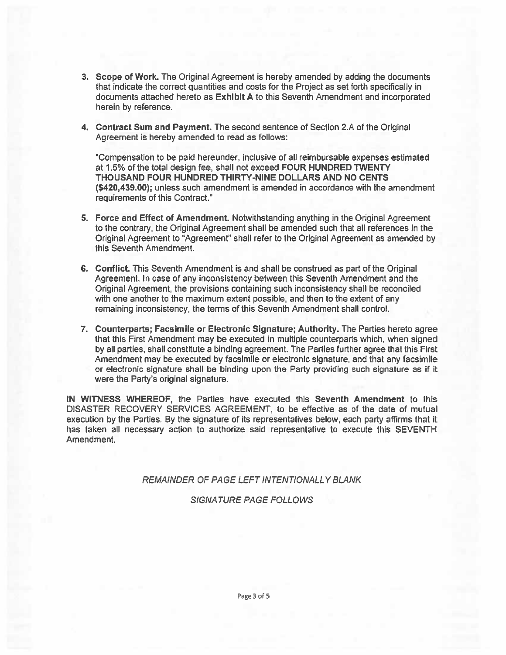- 3. Scope of Work. The Original Agreement is hereby amended by adding the documents that indicate the correct quantities and costs for the Project as set forth specifically in documents attached hereto as Exhibit A to this Seventh Amendment and incorporated herein by reference.
- 4. Contract Sum and Payment. The second sentence of Section 2.A of the Original Agreement is hereby amended to read as follows:

"Compensation to be paid hereunder, inclusive of all reimbursable expenses estimated at 1.5% of the total design fee, shall not exceed FOUR HUNDRED TWENTY THOUSAND FOUR HUNDRED THIRTY-NINE DOLLARS AND NO CENTS (\$420,439.00); unless such amendment is amended in accordance with the amendment requirements of this Contract."

- 5. Force and Effect of Amendment. Notwithstanding anything in the Original Agreement to the contrary, the Original Agreement shall be amended such that all references in the Original Agreement to "Agreement" shall refer to the Original Agreement as amended by this Seventh Amendment.
- 6. Conflict. This Seventh Amendment is and shall be construed as part of the Original Agreement. In case of any inconsistency between this Seventh Amendment and the Original Agreement, the provisions containing such inconsistency shall be reconciled with one another to the maximum extent possible, and then to the extent of any remaining inconsistency, the terms of this Seventh Amendment shall control.
- 7. Counterparts; Facsimile or Electronic Signature; Authority. The Parties hereto agree that this First Amendment may be executed in multiple counterparts which, when signed by all parties, shall constitute a binding agreement. The Parties further agree that this First Amendment may be executed by facsimile or electronic signature, and that any facsimile or electronic signature shall be binding upon the Party providing such signature as if it were the Party's original signature.

IN WITNESS WHEREOF, the Parties have executed this Seventh Amendment to this DISASTER RECOVERY SERVICES AGREEMENT, to be effective as of the date of mutual execution by the Parties. By the signature of its representatives below, each party affirms that it has taken all necessary action to authorize said representative to execute this SEVENTH Amendment.

REMAINDER OF PAGE LEFT INTENTIONALLY BLANK

**SIGNATURE PAGE FOLLOWS**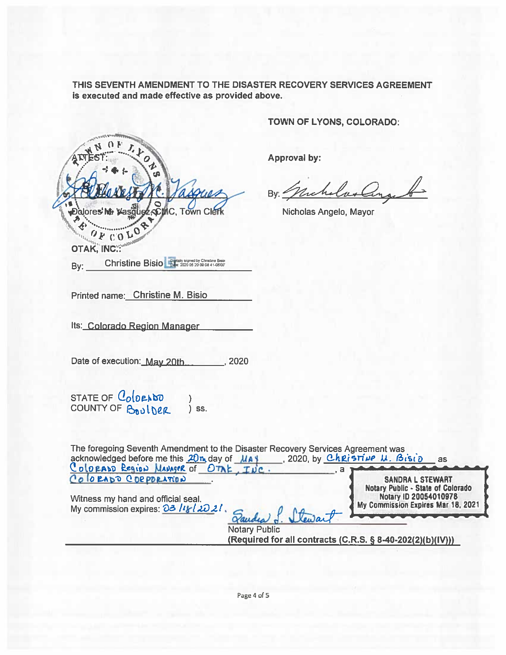THIS SEVENTH AMENDMENT TO THE DISASTER RECOVERY SERVICES AGREEMENT is executed and made effective as provided above.

**ESCINC, Town Clerk Dalores Mr** OFCOLO OTAK, INC.:

TOWN OF LYONS, COLORADO:

**Approval by:** 

By: Grichelas anach

Nicholas Angelo, Mayor

Printed name: Christine M. Bisio

By:

Its: Colorado Region Manager

Date of execution: May 20th  $-$ , 2020

Christine Bisio - 1 2020 05 20 09 08 41-0800

STATE OF ColoraDO<br>COUNTY OF BOULDER  $\mathcal{E}$ ) SS.

| The foregoing Seventh Amendment to the Disaster Recovery Services Agreement was<br>acknowledged before me this 20m day of MAY<br>Colorado Region MANAGER of OTAK, INC.<br>в | 2020 by Christine U. Bisid<br>as                                                                                                   |
|-----------------------------------------------------------------------------------------------------------------------------------------------------------------------------|------------------------------------------------------------------------------------------------------------------------------------|
| COLORADO CORPORATION<br>Witness my hand and official seal.<br>My commission expires: $\frac{\partial 3}{\partial k}$ /th / $\frac{\partial 2}{\partial k}$ .                | <b>SANDRA L STEWART</b><br><b>Notary Public - State of Colorado</b><br>Notary ID 20054010978<br>My Commission Expires Mar 18, 2021 |
| <b>Notary Public</b><br>(Required for all contracts (C.R.S. § 8-40-202(2)(b)(IV)))                                                                                          |                                                                                                                                    |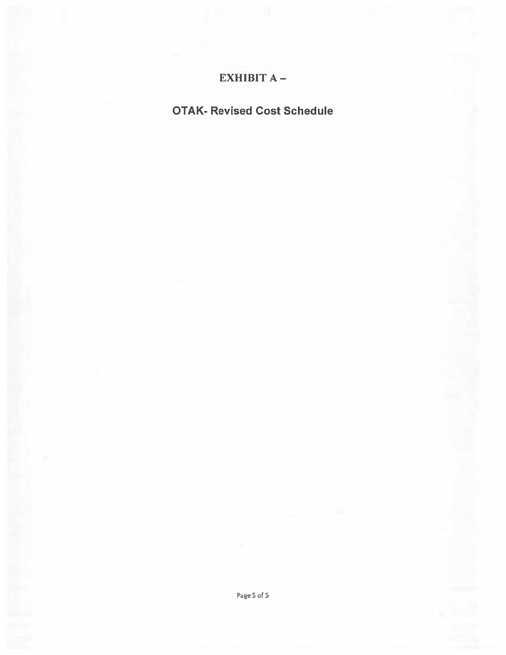### EXHIBIT A-

## **OTAK- Revised Cost Schedule**